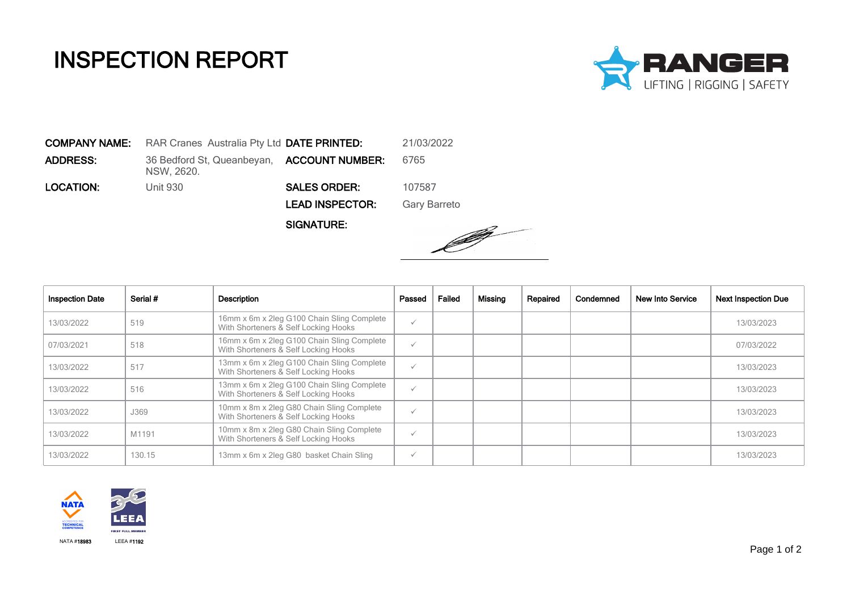## INSPECTION REPORT



COMPANY NAME: RAR Cranes Australia Pty Ltd DATE PRINTED: 21/03/2022 **ADDRESS:** 36 Bedford St, Queanbeyan, **ACCOUNT NUMBER:** 6765 NSW, 2620. LOCATION: Unit 930 SALES ORDER: 107587 LEAD INSPECTOR: Gary Barreto

SIGNATURE:



| <b>Inspection Date</b> | Serial # | <b>Description</b>                                                                 | Passed       | Failed | Missing | Repaired | Condemned | New Into Service | <b>Next Inspection Due</b> |
|------------------------|----------|------------------------------------------------------------------------------------|--------------|--------|---------|----------|-----------|------------------|----------------------------|
| 13/03/2022             | 519      | 16mm x 6m x 2leg G100 Chain Sling Complete<br>With Shorteners & Self Locking Hooks | $\checkmark$ |        |         |          |           |                  | 13/03/2023                 |
| 07/03/2021             | 518      | 16mm x 6m x 2leg G100 Chain Sling Complete<br>With Shorteners & Self Locking Hooks | $\checkmark$ |        |         |          |           |                  | 07/03/2022                 |
| 13/03/2022             | 517      | 13mm x 6m x 2leg G100 Chain Sling Complete<br>With Shorteners & Self Locking Hooks | $\checkmark$ |        |         |          |           |                  | 13/03/2023                 |
| 13/03/2022             | 516      | 13mm x 6m x 2leg G100 Chain Sling Complete<br>With Shorteners & Self Locking Hooks | $\checkmark$ |        |         |          |           |                  | 13/03/2023                 |
| 13/03/2022             | J369     | 10mm x 8m x 2leg G80 Chain Sling Complete<br>With Shorteners & Self Locking Hooks  | $\checkmark$ |        |         |          |           |                  | 13/03/2023                 |
| 13/03/2022             | M1191    | 10mm x 8m x 2leg G80 Chain Sling Complete<br>With Shorteners & Self Locking Hooks  | $\checkmark$ |        |         |          |           |                  | 13/03/2023                 |
| 13/03/2022             | 130.15   | 13mm x 6m x 2leg G80 basket Chain Sling                                            | $\checkmark$ |        |         |          |           |                  | 13/03/2023                 |